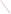